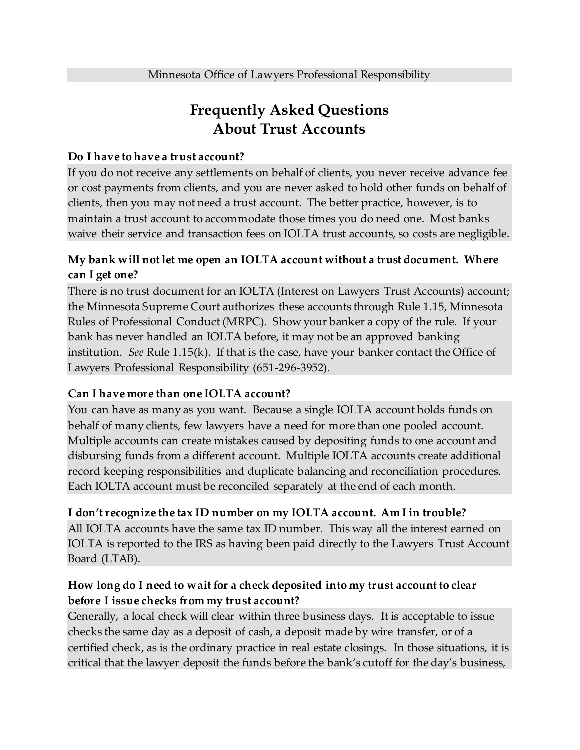# **Frequently Asked Questions About Trust Accounts**

#### **Do I have to have a trust account?**

If you do not receive any settlements on behalf of clients, you never receive advance fee or cost payments from clients, and you are never asked to hold other funds on behalf of clients, then you may not need a trust account. The better practice, however, is to maintain a trust account to accommodate those times you do need one. Most banks waive their service and transaction fees on IOLTA trust accounts, so costs are negligible.

## **My bank will not let me open an IOLTA account without a trust document. Where can I get one?**

There is no trust document for an IOLTA (Interest on Lawyers Trust Accounts) account; the Minnesota Supreme Court authorizes these accounts through Rule 1.15, Minnesota Rules of Professional Conduct (MRPC). Show your banker a copy of the rule. If your bank has never handled an IOLTA before, it may not be an approved banking institution. *See* Rule 1.15(k). If that is the case, have your banker contact the Office of Lawyers Professional Responsibility (651-296-3952).

#### **Can I have more than one IOLTA account?**

You can have as many as you want. Because a single IOLTA account holds funds on behalf of many clients, few lawyers have a need for more than one pooled account. Multiple accounts can create mistakes caused by depositing funds to one account and disbursing funds from a different account. Multiple IOLTA accounts create additional record keeping responsibilities and duplicate balancing and reconciliation procedures. Each IOLTA account must be reconciled separately at the end of each month.

#### **I don't recognize the tax ID number on my IOLTA account. Am I in trouble?**

All IOLTA accounts have the same tax ID number. This way all the interest earned on IOLTA is reported to the IRS as having been paid directly to the Lawyers Trust Account Board (LTAB).

## **How long do I need to wait for a check deposited into my trust account to clear before I issue checks from my trust account?**

Generally, a local check will clear within three business days. It is acceptable to issue checks the same day as a deposit of cash, a deposit made by wire transfer, or of a certified check, as is the ordinary practice in real estate closings. In those situations, it is critical that the lawyer deposit the funds before the bank's cutoff for the day's business,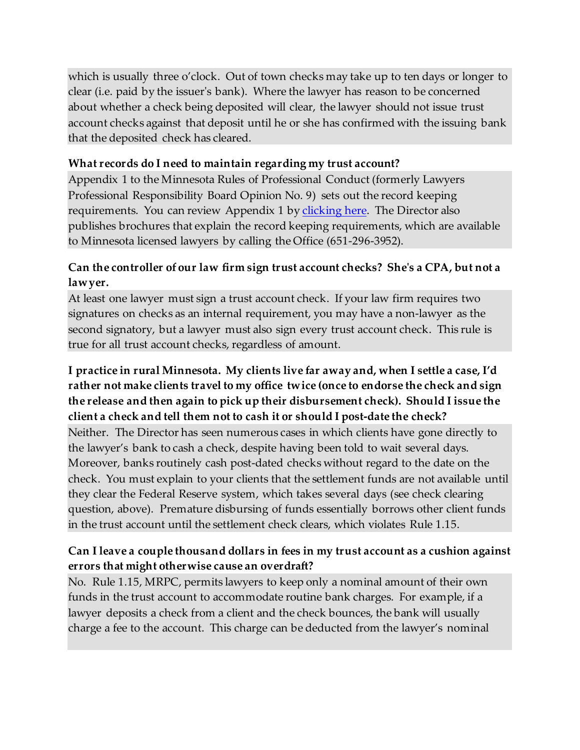which is usually three o'clock. Out of town checks may take up to ten days or longer to clear (i.e. paid by the issuer's bank). Where the lawyer has reason to be concerned about whether a check being deposited will clear, the lawyer should not issue trust account checks against that deposit until he or she has confirmed with the issuing bank that the deposited check has cleared.

### **What records do I need to maintain regarding my trust account?**

Appendix 1 to the Minnesota Rules of Professional Conduct (formerly Lawyers Professional Responsibility Board Opinion No. 9) sets out the record keeping requirements. You can review Appendix 1 b[y clicking here.](http://www.mncourts.gov/lprb/rulesapp1.html) The Director also publishes brochures that explain the record keeping requirements, which are available to Minnesota licensed lawyers by calling the Office (651-296-3952).

## **Can the controller of our law firm sign trust account checks? She's a CPA, but not a lawyer.**

At least one lawyer must sign a trust account check. If your law firm requires two signatures on checks as an internal requirement, you may have a non-lawyer as the second signatory, but a lawyer must also sign every trust account check. This rule is true for all trust account checks, regardless of amount.

# **I practice in rural Minnesota. My clients live far away and, when I settle a case, I'd rather not make clients travel to my office twice (once to endorse the check and sign the release and then again to pick up their disbursement check). Should I issue the client a check and tell them not to cash it or should I post-date the check?**

Neither. The Director has seen numerous cases in which clients have gone directly to the lawyer's bank to cash a check, despite having been told to wait several days. Moreover, banks routinely cash post-dated checks without regard to the date on the check. You must explain to your clients that the settlement funds are not available until they clear the Federal Reserve system, which takes several days (see check clearing question, above). Premature disbursing of funds essentially borrows other client funds in the trust account until the settlement check clears, which violates Rule 1.15.

# **Can I leave a couple thousand dollars in fees in my trust account as a cushion against errors that might otherwise cause an overdraft?**

No. Rule 1.15, MRPC, permits lawyers to keep only a nominal amount of their own funds in the trust account to accommodate routine bank charges. For example, if a lawyer deposits a check from a client and the check bounces, the bank will usually charge a fee to the account. This charge can be deducted from the lawyer's nominal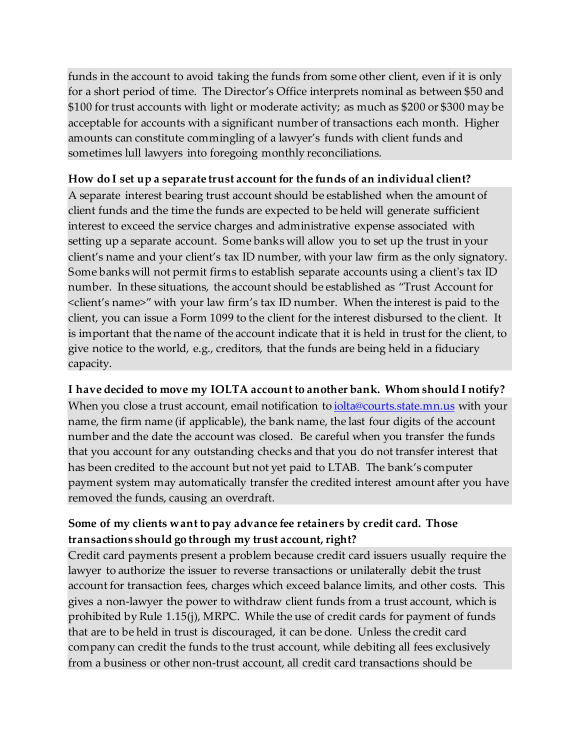funds in the account to avoid taking the funds from some other client, even if it is only for a short period of time. The Director's Office interprets nominal as between \$50 and \$100 for trust accounts with light or moderate activity; as much as \$200 or \$300 may be acceptable for accounts with a significant number of transactions each month. Higher amounts can constitute commingling of a lawyer's funds with client funds and sometimes lull lawyers into foregoing monthly reconciliations.

### **How do I set up a separate trust account for the funds of an individual client?**

A separate interest bearing trust account should be established when the amount of client funds and the time the funds are expected to be held will generate sufficient interest to exceed the service charges and administrative expense associated with setting up a separate account. Some banks will allow you to set up the trust in your client's name and your client's tax ID number, with your law firm as the only signatory. Some banks will not permit firms to establish separate accounts using a client's tax ID number. In these situations, the account should be established as "Trust Account for <client's name>" with your law firm's tax ID number. When the interest is paid to the client, you can issue a Form 1099 to the client for the interest disbursed to the client. It is important that the name of the account indicate that it is held in trust for the client, to give notice to the world, e.g., creditors, that the funds are being held in a fiduciary capacity.

#### **I have decided to move my IOLTA account to another bank. Whom should I notify?**

When you close a trust account, email notification to *iolta@courts.state.mn.us* with your name, the firm name (if applicable), the bank name, the last four digits of the account number and the date the account was closed. Be careful when you transfer the funds that you account for any outstanding checks and that you do not transfer interest that has been credited to the account but not yet paid to LTAB. The bank's computer payment system may automatically transfer the credited interest amount after you have removed the funds, causing an overdraft.

# **Some of my clients want to pay advance fee retainers by credit card. Those transactions should go through my trust account, right?**

Credit card payments present a problem because credit card issuers usually require the lawyer to authorize the issuer to reverse transactions or unilaterally debit the trust account for transaction fees, charges which exceed balance limits, and other costs. This gives a non-lawyer the power to withdraw client funds from a trust account, which is prohibited by Rule 1.15(j), MRPC. While the use of credit cards for payment of funds that are to be held in trust is discouraged, it can be done. Unless the credit card company can credit the funds to the trust account, while debiting all fees exclusively from a business or other non-trust account, all credit card transactions should be